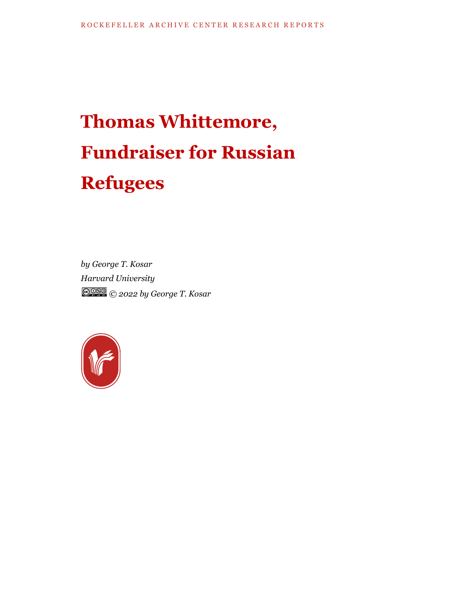# **Thomas Whittemore, Fundraiser for Russian Refugees**

*by George T. Kosar Harvard University © 2022 by George T. Kosar*

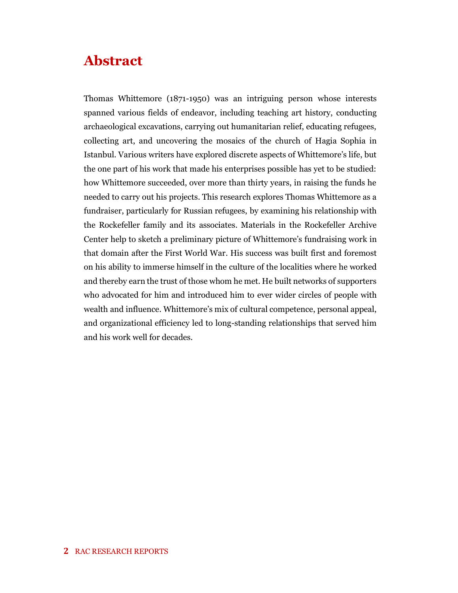## **Abstract**

Thomas Whittemore (1871-1950) was an intriguing person whose interests spanned various fields of endeavor, including teaching art history, conducting archaeological excavations, carrying out humanitarian relief, educating refugees, collecting art, and uncovering the mosaics of the church of Hagia Sophia in Istanbul. Various writers have explored discrete aspects of Whittemore's life, but the one part of his work that made his enterprises possible has yet to be studied: how Whittemore succeeded, over more than thirty years, in raising the funds he needed to carry out his projects. This research explores Thomas Whittemore as a fundraiser, particularly for Russian refugees, by examining his relationship with the Rockefeller family and its associates. Materials in the Rockefeller Archive Center help to sketch a preliminary picture of Whittemore's fundraising work in that domain after the First World War. His success was built first and foremost on his ability to immerse himself in the culture of the localities where he worked and thereby earn the trust of those whom he met. He built networks of supporters who advocated for him and introduced him to ever wider circles of people with wealth and influence. Whittemore's mix of cultural competence, personal appeal, and organizational efficiency led to long-standing relationships that served him and his work well for decades.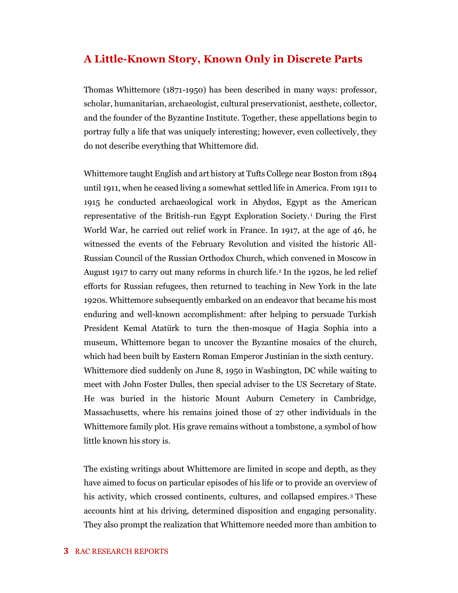### **A Little-Known Story, Known Only in Discrete Parts**

Thomas Whittemore (1871-1950) has been described in many ways: professor, scholar, humanitarian, archaeologist, cultural preservationist, aesthete, collector, and the founder of the Byzantine Institute. Together, these appellations begin to portray fully a life that was uniquely interesting; however, even collectively, they do not describe everything that Whittemore did.

Whittemore taught English and art history at Tufts College near Boston from 1894 until 1911, when he ceased living a somewhat settled life in America. From 1911 to 1915 he conducted archaeological work in Abydos, Egypt as the American representative of the British-run Egypt Exploration Society. <sup>1</sup> During the First World War, he carried out relief work in France. In 1917, at the age of 46, he witnessed the events of the February Revolution and visited the historic All-Russian Council of the Russian Orthodox Church, which convened in Moscow in August 1917 to carry out many reforms in church life.<sup>2</sup> In the 1920s, he led relief efforts for Russian refugees, then returned to teaching in New York in the late 1920s. Whittemore subsequently embarked on an endeavor that became his most enduring and well-known accomplishment: after helping to persuade Turkish President Kemal Atatürk to turn the then-mosque of Hagia Sophia into a museum, Whittemore began to uncover the Byzantine mosaics of the church, which had been built by Eastern Roman Emperor Justinian in the sixth century. Whittemore died suddenly on June 8, 1950 in Washington, DC while waiting to meet with John Foster Dulles, then special adviser to the US Secretary of State. He was buried in the historic Mount Auburn Cemetery in Cambridge, Massachusetts, where his remains joined those of 27 other individuals in the Whittemore family plot. His grave remains without a tombstone, a symbol of how little known his story is.

The existing writings about Whittemore are limited in scope and depth, as they have aimed to focus on particular episodes of his life or to provide an overview of his activity, which crossed continents, cultures, and collapsed empires.<sup>3</sup> These accounts hint at his driving, determined disposition and engaging personality. They also prompt the realization that Whittemore needed more than ambition to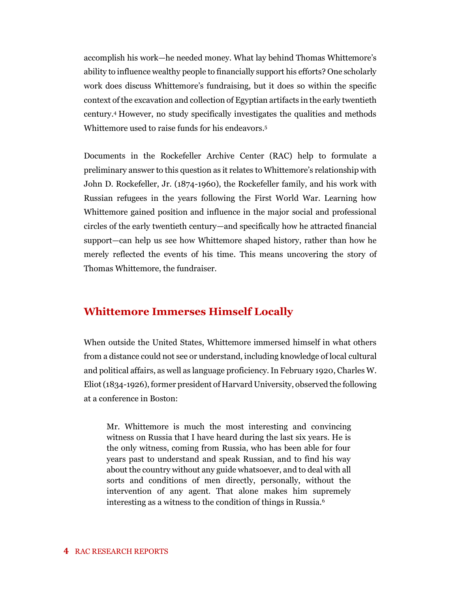accomplish his work—he needed money. What lay behind Thomas Whittemore's ability to influence wealthy people to financially support his efforts? One scholarly work does discuss Whittemore's fundraising, but it does so within the specific context of the excavation and collection of Egyptian artifacts in the early twentieth century.<sup>4</sup> However, no study specifically investigates the qualities and methods Whittemore used to raise funds for his endeavors.<sup>5</sup>

Documents in the Rockefeller Archive Center (RAC) help to formulate a preliminary answer to this question as it relates to Whittemore's relationship with John D. Rockefeller, Jr. (1874-1960), the Rockefeller family, and his work with Russian refugees in the years following the First World War. Learning how Whittemore gained position and influence in the major social and professional circles of the early twentieth century—and specifically how he attracted financial support—can help us see how Whittemore shaped history, rather than how he merely reflected the events of his time. This means uncovering the story of Thomas Whittemore, the fundraiser.

### **Whittemore Immerses Himself Locally**

When outside the United States, Whittemore immersed himself in what others from a distance could not see or understand, including knowledge of local cultural and political affairs, as well as language proficiency. In February 1920, Charles W. Eliot (1834-1926), former president of Harvard University, observed the following at a conference in Boston:

Mr. Whittemore is much the most interesting and convincing witness on Russia that I have heard during the last six years. He is the only witness, coming from Russia, who has been able for four years past to understand and speak Russian, and to find his way about the country without any guide whatsoever, and to deal with all sorts and conditions of men directly, personally, without the intervention of any agent. That alone makes him supremely interesting as a witness to the condition of things in Russia.6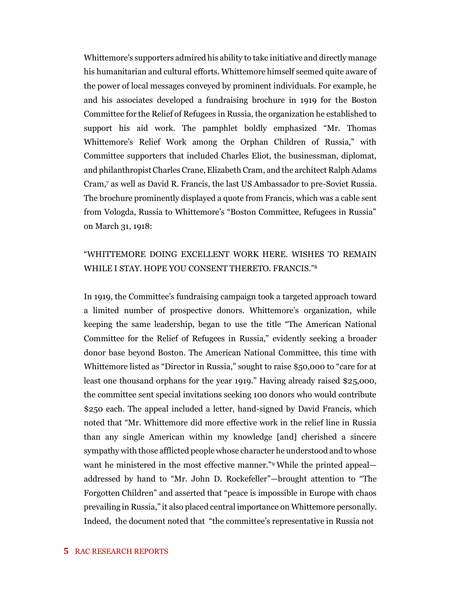Whittemore's supporters admired his ability to take initiative and directly manage his humanitarian and cultural efforts. Whittemore himself seemed quite aware of the power of local messages conveyed by prominent individuals. For example, he and his associates developed a fundraising brochure in 1919 for the Boston Committee for the Relief of Refugees in Russia, the organization he established to support his aid work. The pamphlet boldly emphasized "Mr. Thomas Whittemore's Relief Work among the Orphan Children of Russia," with Committee supporters that included Charles Eliot, the businessman, diplomat, and philanthropist Charles Crane, Elizabeth Cram, and the architect Ralph Adams Cram,<sup>7</sup> as well as David R. Francis, the last US Ambassador to pre-Soviet Russia. The brochure prominently displayed a quote from Francis, which was a cable sent from Vologda, Russia to Whittemore's "Boston Committee, Refugees in Russia" on March 31, 1918:

#### "WHITTEMORE DOING EXCELLENT WORK HERE. WISHES TO REMAIN WHILE I STAY. HOPE YOU CONSENT THERETO. FRANCIS."<sup>8</sup>

In 1919, the Committee's fundraising campaign took a targeted approach toward a limited number of prospective donors. Whittemore's organization, while keeping the same leadership, began to use the title "The American National Committee for the Relief of Refugees in Russia," evidently seeking a broader donor base beyond Boston. The American National Committee, this time with Whittemore listed as "Director in Russia," sought to raise \$50,000 to "care for at least one thousand orphans for the year 1919." Having already raised \$25,000, the committee sent special invitations seeking 100 donors who would contribute \$250 each. The appeal included a letter, hand-signed by David Francis, which noted that "Mr. Whittemore did more effective work in the relief line in Russia than any single American within my knowledge [and] cherished a sincere sympathy with those afflicted people whose character he understood and to whose want he ministered in the most effective manner."<sup>9</sup> While the printed appeal addressed by hand to "Mr. John D. Rockefeller"—brought attention to "The Forgotten Children" and asserted that "peace is impossible in Europe with chaos prevailing in Russia," it also placed central importance on Whittemore personally. Indeed, the document noted that "the committee's representative in Russia not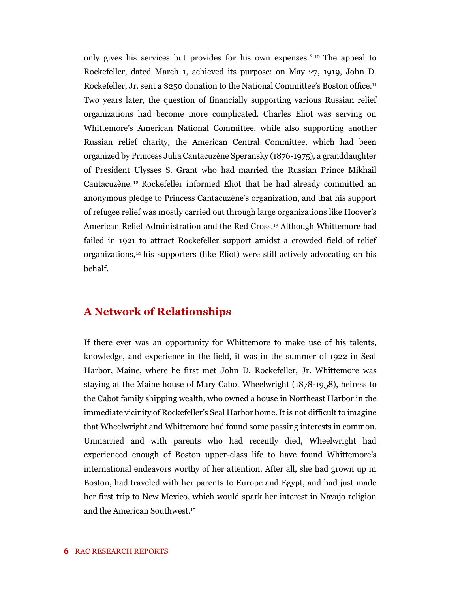only gives his services but provides for his own expenses." <sup>10</sup> The appeal to Rockefeller, dated March 1, achieved its purpose: on May 27, 1919, John D. Rockefeller, Jr. sent a \$250 donation to the National Committee's Boston office.<sup>11</sup> Two years later, the question of financially supporting various Russian relief organizations had become more complicated. Charles Eliot was serving on Whittemore's American National Committee, while also supporting another Russian relief charity, the American Central Committee, which had been organized by Princess Julia Cantacuzène Speransky (1876-1975), a granddaughter of President Ulysses S. Grant who had married the Russian Prince Mikhail Cantacuzène. <sup>12</sup> Rockefeller informed Eliot that he had already committed an anonymous pledge to Princess Cantacuzène's organization, and that his support of refugee relief was mostly carried out through large organizations like Hoover's American Relief Administration and the Red Cross.<sup>13</sup> Although Whittemore had failed in 1921 to attract Rockefeller support amidst a crowded field of relief organizations,<sup>14</sup> his supporters (like Eliot) were still actively advocating on his behalf.

### **A Network of Relationships**

If there ever was an opportunity for Whittemore to make use of his talents, knowledge, and experience in the field, it was in the summer of 1922 in Seal Harbor, Maine, where he first met John D. Rockefeller, Jr. Whittemore was staying at the Maine house of Mary Cabot Wheelwright (1878-1958), heiress to the Cabot family shipping wealth, who owned a house in Northeast Harbor in the immediate vicinity of Rockefeller's Seal Harbor home. It is not difficult to imagine that Wheelwright and Whittemore had found some passing interests in common. Unmarried and with parents who had recently died, Wheelwright had experienced enough of Boston upper-class life to have found Whittemore's international endeavors worthy of her attention. After all, she had grown up in Boston, had traveled with her parents to Europe and Egypt, and had just made her first trip to New Mexico, which would spark her interest in Navajo religion and the American Southwest.15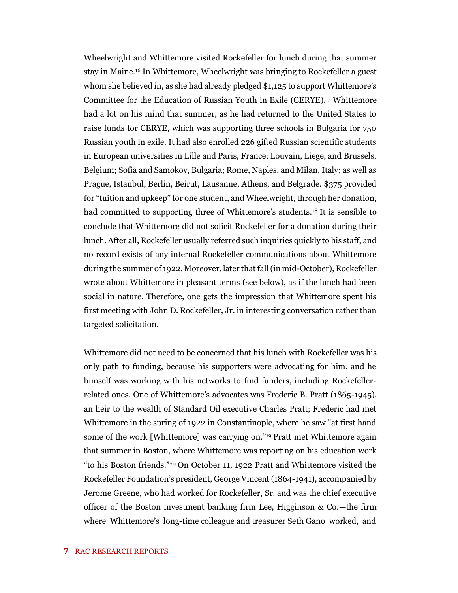Wheelwright and Whittemore visited Rockefeller for lunch during that summer stay in Maine.<sup>16</sup> In Whittemore, Wheelwright was bringing to Rockefeller a guest whom she believed in, as she had already pledged \$1,125 to support Whittemore's Committee for the Education of Russian Youth in Exile (CERYE).<sup>17</sup> Whittemore had a lot on his mind that summer, as he had returned to the United States to raise funds for CERYE, which was supporting three schools in Bulgaria for 750 Russian youth in exile. It had also enrolled 226 gifted Russian scientific students in European universities in Lille and Paris, France; Louvain, Liege, and Brussels, Belgium; Sofia and Samokov, Bulgaria; Rome, Naples, and Milan, Italy; as well as Prague, Istanbul, Berlin, Beirut, Lausanne, Athens, and Belgrade. \$375 provided for "tuition and upkeep" for one student, and Wheelwright, through her donation, had committed to supporting three of Whittemore's students.<sup>18</sup> It is sensible to conclude that Whittemore did not solicit Rockefeller for a donation during their lunch. After all, Rockefeller usually referred such inquiries quickly to his staff, and no record exists of any internal Rockefeller communications about Whittemore during the summer of 1922. Moreover, later that fall (in mid-October), Rockefeller wrote about Whittemore in pleasant terms (see below), as if the lunch had been social in nature. Therefore, one gets the impression that Whittemore spent his first meeting with John D. Rockefeller, Jr. in interesting conversation rather than targeted solicitation.

Whittemore did not need to be concerned that his lunch with Rockefeller was his only path to funding, because his supporters were advocating for him, and he himself was working with his networks to find funders, including Rockefellerrelated ones. One of Whittemore's advocates was Frederic B. Pratt (1865-1945), an heir to the wealth of Standard Oil executive Charles Pratt; Frederic had met Whittemore in the spring of 1922 in Constantinople, where he saw "at first hand some of the work [Whittemore] was carrying on."<sup>19</sup> Pratt met Whittemore again that summer in Boston, where Whittemore was reporting on his education work "to his Boston friends."<sup>20</sup> On October 11, 1922 Pratt and Whittemore visited the Rockefeller Foundation's president, George Vincent (1864-1941), accompanied by Jerome Greene, who had worked for Rockefeller, Sr. and was the chief executive officer of the Boston investment banking firm Lee, Higginson & Co.—the firm where Whittemore's long-time colleague and treasurer Seth Gano worked, and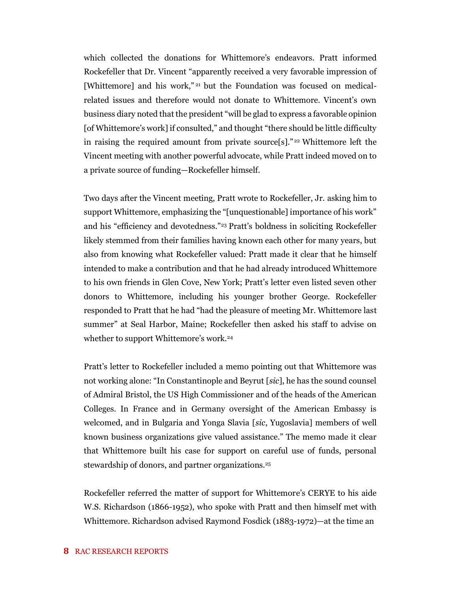which collected the donations for Whittemore's endeavors. Pratt informed Rockefeller that Dr. Vincent "apparently received a very favorable impression of [Whittemore] and his work,"<sup>21</sup> but the Foundation was focused on medicalrelated issues and therefore would not donate to Whittemore. Vincent's own business diary noted that the president "will be glad to express a favorable opinion [of Whittemore's work] if consulted," and thought "there should be little difficulty in raising the required amount from private source[s]." <sup>22</sup> Whittemore left the Vincent meeting with another powerful advocate, while Pratt indeed moved on to a private source of funding—Rockefeller himself.

Two days after the Vincent meeting, Pratt wrote to Rockefeller, Jr. asking him to support Whittemore, emphasizing the "[unquestionable] importance of his work" and his "efficiency and devotedness."<sup>23</sup> Pratt's boldness in soliciting Rockefeller likely stemmed from their families having known each other for many years, but also from knowing what Rockefeller valued: Pratt made it clear that he himself intended to make a contribution and that he had already introduced Whittemore to his own friends in Glen Cove, New York; Pratt's letter even listed seven other donors to Whittemore, including his younger brother George. Rockefeller responded to Pratt that he had "had the pleasure of meeting Mr. Whittemore last summer" at Seal Harbor, Maine; Rockefeller then asked his staff to advise on whether to support Whittemore's work.<sup>24</sup>

Pratt's letter to Rockefeller included a memo pointing out that Whittemore was not working alone: "In Constantinople and Beyrut [*sic*], he has the sound counsel of Admiral Bristol, the US High Commissioner and of the heads of the American Colleges. In France and in Germany oversight of the American Embassy is welcomed, and in Bulgaria and Yonga Slavia [*sic*, Yugoslavia] members of well known business organizations give valued assistance." The memo made it clear that Whittemore built his case for support on careful use of funds, personal stewardship of donors, and partner organizations.<sup>25</sup>

Rockefeller referred the matter of support for Whittemore's CERYE to his aide W.S. Richardson (1866-1952), who spoke with Pratt and then himself met with Whittemore. Richardson advised Raymond Fosdick (1883-1972)—at the time an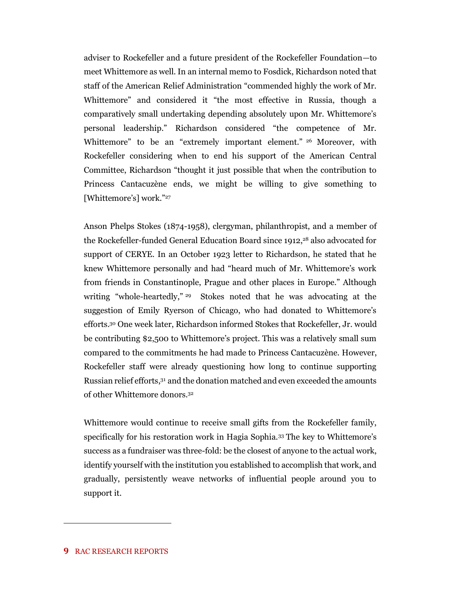adviser to Rockefeller and a future president of the Rockefeller Foundation—to meet Whittemore as well. In an internal memo to Fosdick, Richardson noted that staff of the American Relief Administration "commended highly the work of Mr. Whittemore" and considered it "the most effective in Russia, though a comparatively small undertaking depending absolutely upon Mr. Whittemore's personal leadership." Richardson considered "the competence of Mr. Whittemore" to be an "extremely important element." <sup>26</sup> Moreover, with Rockefeller considering when to end his support of the American Central Committee, Richardson "thought it just possible that when the contribution to Princess Cantacuzène ends, we might be willing to give something to [Whittemore's] work."27

Anson Phelps Stokes (1874-1958), clergyman, philanthropist, and a member of the Rockefeller-funded General Education Board since 1912,<sup>28</sup> also advocated for support of CERYE. In an October 1923 letter to Richardson, he stated that he knew Whittemore personally and had "heard much of Mr. Whittemore's work from friends in Constantinople, Prague and other places in Europe." Although writing "whole-heartedly," <sup>29</sup> Stokes noted that he was advocating at the suggestion of Emily Ryerson of Chicago, who had donated to Whittemore's efforts.<sup>30</sup> One week later, Richardson informed Stokes that Rockefeller, Jr. would be contributing \$2,500 to Whittemore's project. This was a relatively small sum compared to the commitments he had made to Princess Cantacuzène. However, Rockefeller staff were already questioning how long to continue supporting Russian relief efforts, <sup>31</sup> and the donation matched and even exceeded the amounts of other Whittemore donors.<sup>32</sup>

Whittemore would continue to receive small gifts from the Rockefeller family, specifically for his restoration work in Hagia Sophia.<sup>33</sup> The key to Whittemore's success as a fundraiser was three-fold: be the closest of anyone to the actual work, identify yourself with the institution you established to accomplish that work, and gradually, persistently weave networks of influential people around you to support it.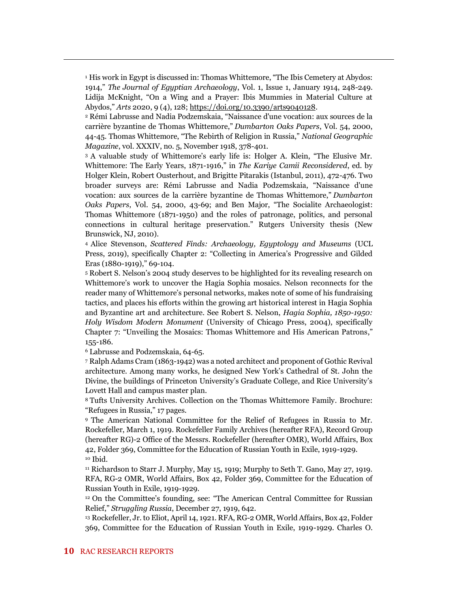<sup>1</sup> His work in Egypt is discussed in: Thomas Whittemore, "The Ibis Cemetery at Abydos: 1914," *The Journal of Egyptian Archaeology*, Vol. 1, Issue 1, January 1914, 248-249. Lidija McKnight, "On a Wing and a Prayer: Ibis Mummies in Material Culture at Abydos," *Arts* 2020, 9 (4), 128; [https://doi.org/10.3390/arts9040128.](https://doi.org/10.3390/arts9040128)

<sup>2</sup> Rémi Labrusse and Nadia Podzemskaia, "Naissance d'une vocation: aux sources de la carrière byzantine de Thomas Whittemore," *Dumbarton Oaks Papers*, Vol. 54, 2000, 44-45. Thomas Whittemore, "The Rebirth of Religion in Russia," *National Geographic Magazine*, vol. XXXIV, no. 5, November 1918, 378-401.

<sup>3</sup> A valuable study of Whittemore's early life is: Holger A. Klein, "The Elusive Mr. Whittemore: The Early Years, 1871-1916," in *The Kariye Camii Reconsidered*, ed. by Holger Klein, Robert Ousterhout, and Brigitte Pitarakis (Istanbul, 2011), 472-476. Two broader surveys are: Rémi Labrusse and Nadia Podzemskaia, "Naissance d'une vocation: aux sources de la carrière byzantine de Thomas Whittemore," *Dumbarton Oaks Papers*, Vol. 54, 2000, 43-69; and Ben Major, "The Socialite Archaeologist: Thomas Whittemore (1871-1950) and the roles of patronage, politics, and personal connections in cultural heritage preservation." Rutgers University thesis (New Brunswick, NJ, 2010).

<sup>4</sup> Alice Stevenson, *Scattered Finds: Archaeology, Egyptology and Museums* (UCL Press, 2019), specifically Chapter 2: "Collecting in America's Progressive and Gilded Eras (1880-1919)," 69-104.

<sup>5</sup> Robert S. Nelson's 2004 study deserves to be highlighted for its revealing research on Whittemore's work to uncover the Hagia Sophia mosaics. Nelson reconnects for the reader many of Whittemore's personal networks, makes note of some of his fundraising tactics, and places his efforts within the growing art historical interest in Hagia Sophia and Byzantine art and architecture. See Robert S. Nelson, *Hagia Sophia, 1850-1950: Holy Wisdom Modern Monument* (University of Chicago Press, 2004), specifically Chapter 7: "Unveiling the Mosaics: Thomas Whittemore and His American Patrons," 155-186.

<sup>6</sup> Labrusse and Podzemskaia, 64-65.

<sup>7</sup> Ralph Adams Cram (1863-1942) was a noted architect and proponent of Gothic Revival architecture. Among many works, he designed New York's Cathedral of St. John the Divine, the buildings of Princeton University's Graduate College, and Rice University's Lovett Hall and campus master plan.

<sup>8</sup> Tufts University Archives. Collection on the Thomas Whittemore Family. Brochure: "Refugees in Russia," 17 pages.

<sup>9</sup> The American National Committee for the Relief of Refugees in Russia to Mr. Rockefeller, March 1, 1919. Rockefeller Family Archives (hereafter RFA), Record Group (hereafter RG)-2 Office of the Messrs. Rockefeller (hereafter OMR), World Affairs, Box 42, Folder 369, Committee for the Education of Russian Youth in Exile, 1919-1929. <sup>10</sup> Ibid.

<sup>11</sup> Richardson to Starr J. Murphy, May 15, 1919; Murphy to Seth T. Gano, May 27, 1919. RFA, RG-2 OMR, World Affairs, Box 42, Folder 369, Committee for the Education of Russian Youth in Exile, 1919-1929.

<sup>12</sup> On the Committee's founding, see: "The American Central Committee for Russian Relief," *Struggling Russia*, December 27, 1919, 642.

<sup>13</sup> Rockefeller, Jr. to Eliot, April 14, 1921. RFA, RG-2 OMR, World Affairs, Box 42, Folder 369, Committee for the Education of Russian Youth in Exile, 1919-1929. Charles O.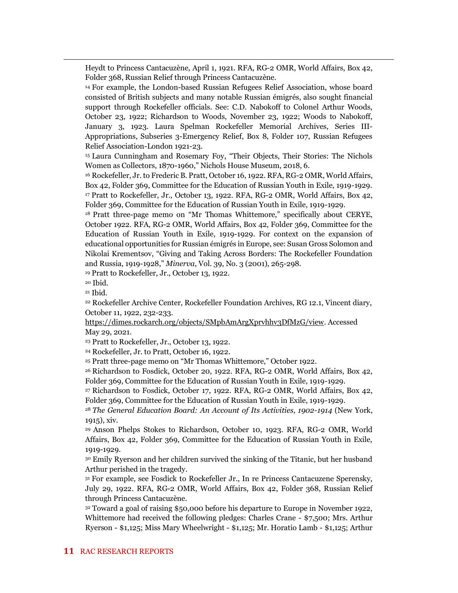Heydt to Princess Cantacuzène, April 1, 1921. RFA, RG-2 OMR, World Affairs, Box 42, Folder 368, Russian Relief through Princess Cantacuzène.

<sup>14</sup> For example, the London-based Russian Refugees Relief Association, whose board consisted of British subjects and many notable Russian émigrés, also sought financial support through Rockefeller officials. See: C.D. Nabokoff to Colonel Arthur Woods, October 23, 1922; Richardson to Woods, November 23, 1922; Woods to Nabokoff, January 3, 1923. Laura Spelman Rockefeller Memorial Archives, Series III-Appropriations, Subseries 3-Emergency Relief, Box 8, Folder 107, Russian Refugees Relief Association-London 1921-23.

<sup>15</sup> Laura Cunningham and Rosemary Foy, "Their Objects, Their Stories: The Nichols Women as Collectors, 1870-1960," Nichols House Museum, 2018, 6.

<sup>16</sup> Rockefeller, Jr. to Frederic B. Pratt, October 16, 1922. RFA, RG-2 OMR, World Affairs, Box 42, Folder 369, Committee for the Education of Russian Youth in Exile, 1919-1929. <sup>17</sup> Pratt to Rockefeller, Jr., October 13, 1922. RFA, RG-2 OMR, World Affairs, Box 42, Folder 369, Committee for the Education of Russian Youth in Exile, 1919-1929.

<sup>18</sup> Pratt three-page memo on "Mr Thomas Whittemore," specifically about CERYE, October 1922. RFA, RG-2 OMR, World Affairs, Box 42, Folder 369, Committee for the Education of Russian Youth in Exile, 1919-1929. For context on the expansion of educational opportunities for Russian émigrés in Europe, see: Susan Gross Solomon and Nikolai Krementsov, "Giving and Taking Across Borders: The Rockefeller Foundation and Russia, 1919-1928," *Minerva*, Vol. 39, No. 3 (2001), 265-298.

<sup>19</sup> Pratt to Rockefeller, Jr., October 13, 1922.

<sup>20</sup> Ibid.

<sup>21</sup> Ibid.

<sup>22</sup> Rockefeller Archive Center, Rockefeller Foundation Archives, RG 12.1, Vincent diary, October 11, 1922, 232-233.

[https://dimes.rockarch.org/objects/SMpbAmArgXprvhhv3DfMzG/view.](https://dimes.rockarch.org/objects/SMpbAmArgXprvhhv3DfMzG/view) Accessed May 29, 2021.

<sup>23</sup> Pratt to Rockefeller, Jr., October 13, 1922.

<sup>24</sup> Rockefeller, Jr. to Pratt, October 16, 1922.

<sup>25</sup> Pratt three-page memo on "Mr Thomas Whittemore," October 1922.

<sup>26</sup> Richardson to Fosdick, October 20, 1922. RFA, RG-2 OMR, World Affairs, Box 42, Folder 369, Committee for the Education of Russian Youth in Exile, 1919-1929.

<sup>27</sup> Richardson to Fosdick, October 17, 1922. RFA, RG-2 OMR, World Affairs, Box 42, Folder 369, Committee for the Education of Russian Youth in Exile, 1919-1929.

<sup>28</sup> *The General Education Board: An Account of Its Activities, 1902-1914* (New York, 1915), xiv.

<sup>29</sup> Anson Phelps Stokes to Richardson, October 10, 1923. RFA, RG-2 OMR, World Affairs, Box 42, Folder 369, Committee for the Education of Russian Youth in Exile, 1919-1929.

<sup>30</sup> Emily Ryerson and her children survived the sinking of the Titanic, but her husband Arthur perished in the tragedy.

<sup>31</sup> For example, see Fosdick to Rockefeller Jr., In re Princess Cantacuzene Sperensky, July 29, 1922. RFA, RG-2 OMR, World Affairs, Box 42, Folder 368, Russian Relief through Princess Cantacuzène.

<sup>32</sup> Toward a goal of raising \$50,000 before his departure to Europe in November 1922, Whittemore had received the following pledges: Charles Crane - \$7,500; Mrs. Arthur Ryerson - \$1,125; Miss Mary Wheelwright - \$1,125; Mr. Horatio Lamb - \$1,125; Arthur